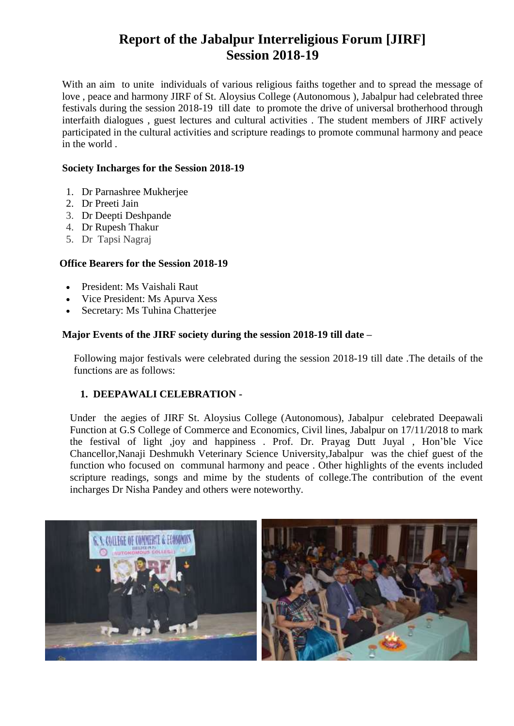# **Report of the Jabalpur Interreligious Forum [JIRF] Session 2018-19**

With an aim to unite individuals of various religious faiths together and to spread the message of love , peace and harmony JIRF of St. Aloysius College (Autonomous ), Jabalpur had celebrated three festivals during the session 2018-19 till date to promote the drive of universal brotherhood through interfaith dialogues , guest lectures and cultural activities . The student members of JIRF actively participated in the cultural activities and scripture readings to promote communal harmony and peace in the world .

#### **Society Incharges for the Session 2018-19**

- 1. Dr Parnashree Mukherjee
- 2. Dr Preeti Jain
- 3. Dr Deepti Deshpande
- 4. Dr Rupesh Thakur
- 5. DrTapsi Nagraj

## **Office Bearers for the Session 2018-19**

- President: Ms Vaishali Raut
- Vice President: Ms Apurva Xess
- Secretary: Ms Tuhina Chatterjee

## **Major Events of the JIRF society during the session 2018-19 till date –**

Following major festivals were celebrated during the session 2018-19 till date .The details of the functions are as follows:

# **1. DEEPAWALI CELEBRATION -**

Under the aegies of JIRF St. Aloysius College (Autonomous), Jabalpur celebrated Deepawali Function at G.S College of Commerce and Economics, Civil lines, Jabalpur on 17/11/2018 to mark the festival of light ,joy and happiness . Prof. Dr. Prayag Dutt Juyal , Hon'ble Vice Chancellor,Nanaji Deshmukh Veterinary Science University,Jabalpur was the chief guest of the function who focused on communal harmony and peace . Other highlights of the events included scripture readings, songs and mime by the students of college.The contribution of the event incharges Dr Nisha Pandey and others were noteworthy.

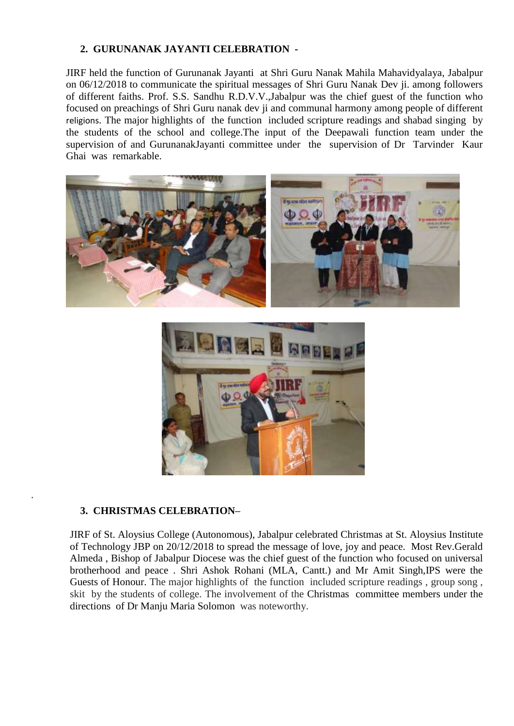## **2. GURUNANAK JAYANTI CELEBRATION -**

JIRF held the function of Gurunanak Jayanti at Shri Guru Nanak Mahila Mahavidyalaya, Jabalpur on 06/12/2018 to communicate the spiritual messages of Shri Guru Nanak Dev ji. among followers of different faiths. Prof. S.S. Sandhu R.D.V.V.,Jabalpur was the chief guest of the function who focused on preachings of Shri Guru nanak dev ji and communal harmony among people of different religions. The major highlights of the function included scripture readings and shabad singing by the students of the school and college.The input of the Deepawali function team under the supervision of and GurunanakJayanti committee under the supervision of Dr Tarvinder Kaur Ghai was remarkable.





#### **3. CHRISTMAS CELEBRATION–**

.

JIRF of St. Aloysius College (Autonomous), Jabalpur celebrated Christmas at St. Aloysius Institute of Technology JBP on 20/12/2018 to spread the message of love, joy and peace. Most Rev.Gerald Almeda , Bishop of Jabalpur Diocese was the chief guest of the function who focused on universal brotherhood and peace . Shri Ashok Rohani (MLA, Cantt.) and Mr Amit Singh,IPS were the Guests of Honour. The major highlights of the function included scripture readings , group song , skit by the students of college. The involvement of the Christmas committee members under the directions of Dr Manju Maria Solomon was noteworthy.